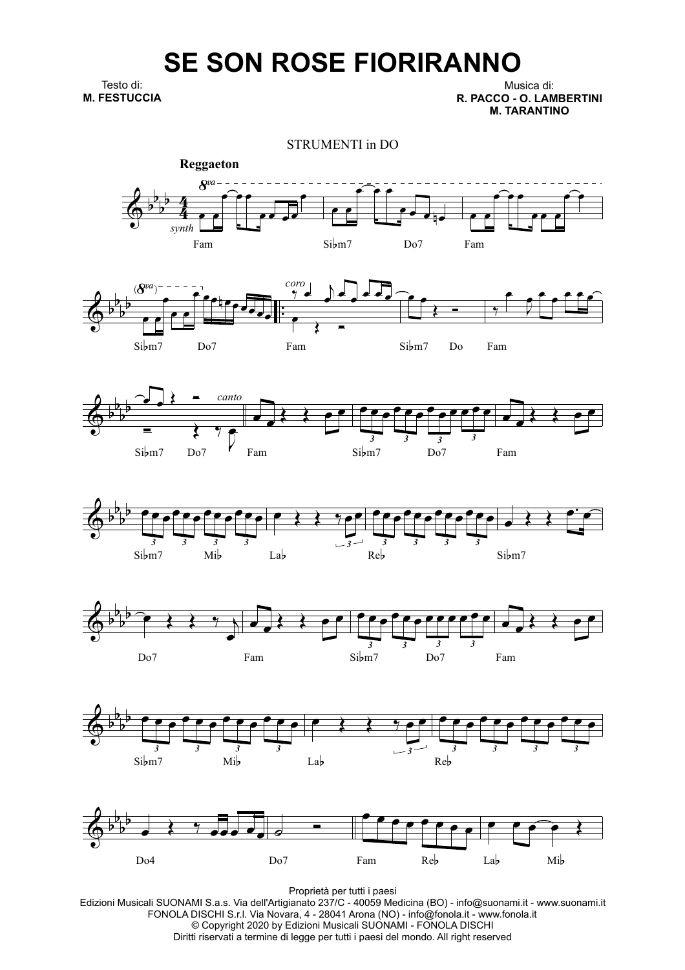## **SE SON ROSE FIORIRANNO**

Testo di: **M. FESTUCCIA**

Musica di: **R. PACCO - O. LAMBERTINI M. TARANTINO**

STRUMENTI in DO















Proprietà per tutti i paesi

Edizioni Musicali SUONAMI S.a.s. Via dell'Artigianato 237/C - 40059 Medicina (BO) - info@suonami.it - www.suonami.it FONOLA DISCHI S.r.l. Via Novara, 4 - 28041 Arona (NO) - info@fonola.it - www.fonola.it © Copyright 2020 by Edizioni Musicali SUONAMI - FONOLA DISCHI Diritti riservati a termine di legge per tutti i paesi del mondo. All right reserved